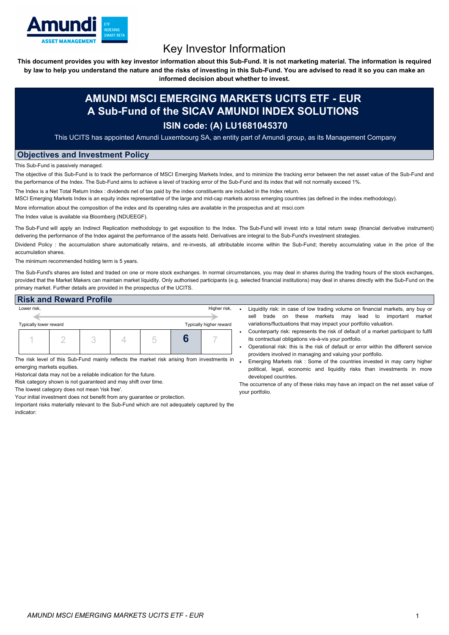

# Key Investor Information

This document provides you with key investor information about this Sub-Fund. It is not marketing material. The information is required by law to help you understand the nature and the risks of investing in this Sub-Fund. You are advised to read it so you can make an

**informed decision about whether to invest.**

## **AMUNDI MSCI EMERGING MARKETS UCITS ETF - EUR A Sub-Fund of the SICAV AMUNDI INDEX SOLUTIONS**

### **ISIN code: (A) LU1681045370**

This UCITS has appointed Amundi Luxembourg SA, an entity part of Amundi group, as its Management Company

#### **Objectives and Investment Policy**

This Sub-Fund is passively managed.

The objective of this Sub-Fund is to track the performance of MSCI Emerging Markets Index, and to minimize the tracking error between the net asset value of the Sub-Fund and the performance of the Index. The Sub-Fund aims to achieve a level of tracking error of the Sub-Fund and its index that will not normally exceed 1%.

The Index is a Net Total Return Index : dividends net of tax paid by the index constituents are included in the Index return.

MSCI Emerging Markets Index is an equity index representative of the large and mid-cap markets across emerging countries (as defined in the index methodology).

More information about the composition of the index and its operating rules are available in the prospectus and at: msci.com

The Index value is available via Bloomberg (NDUEEGF).

The Sub-Fund will apply an Indirect Replication methodology to get exposition to the Index. The Sub-Fund will invest into a total return swap (financial derivative instrument) delivering the performance of the Index against the performance of the assets held. Derivatives are integral to the Sub-Fund's investment strategies.

Dividend Policy: the accumulation share automatically retains, and re-invests, all attributable income within the Sub-Fund; thereby accumulating value in the price of the accumulation shares.

The minimum recommended holding term is 5 years.

The Sub-Fund's shares are listed and traded on one or more stock exchanges. In normal circumstances, you may deal in shares during the trading hours of the stock exchanges, provided that the Market Makers can maintain market liquidity. Only authorised participants (e.g. selected financial institutions) may deal in shares directly with the Sub-Fund on the primary market. Further details are provided in the prospectus of the UCITS.

| <b>Risk and Reward Profile</b>                    |  |              |  |  |  |  |  |
|---------------------------------------------------|--|--------------|--|--|--|--|--|
| Lower risk,                                       |  | Higher risk, |  |  |  |  |  |
|                                                   |  |              |  |  |  |  |  |
| Typically higher reward<br>Typically lower reward |  |              |  |  |  |  |  |
|                                                   |  |              |  |  |  |  |  |
|                                                   |  |              |  |  |  |  |  |

The risk level of this Sub-Fund mainly reflects the market risk arising from investments in emerging markets equities.

Historical data may not be a reliable indication for the future.

Risk category shown is not guaranteed and may shift over time.

The lowest category does not mean 'risk free'.

Your initial investment does not benefit from any guarantee or protection.

Important risks materially relevant to the Sub-Fund which are not adequately captured by the indicator:

- Liquidity risk: in case of low trading volume on financial markets, any buy or sell trade on these markets may lead to important market variations/fluctuations that may impact your portfolio valuation.
- Counterparty risk: represents the risk of default of a market participant to fulfil its contractual obligations vis-à-vis your portfolio.
- Operational risk: this is the risk of default or error within the different service providers involved in managing and valuing your portfolio.
- Emerging Markets risk : Some of the countries invested in may carry higher political, legal, economic and liquidity risks than investments in more developed countries.

The occurrence of any of these risks may have an impact on the net asset value of your portfolio.